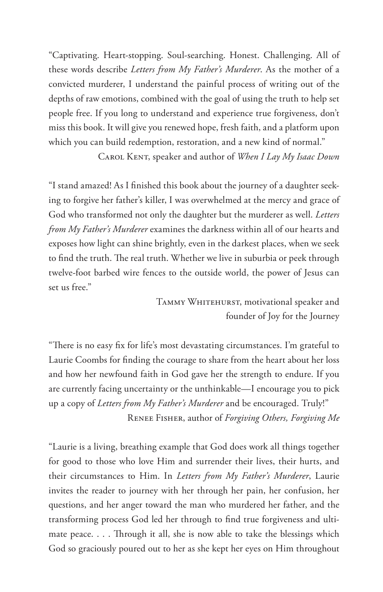"Captivating. Heart-stopping. Soul-searching. Honest. Challenging. All of these words describe *Letters from My Father's Murderer*. As the mother of a convicted murderer, I understand the painful process of writing out of the depths of raw emotions, combined with the goal of using the truth to help set people free. If you long to understand and experience true forgiveness, don't miss this book. It will give you renewed hope, fresh faith, and a platform upon which you can build redemption, restoration, and a new kind of normal."

Carol Kent, speaker and author of *When I Lay My Isaac Down*

"I stand amazed! As I finished this book about the journey of a daughter seeking to forgive her father's killer, I was overwhelmed at the mercy and grace of God who transformed not only the daughter but the murderer as well. *Letters from My Father's Murderer* examines the darkness within all of our hearts and exposes how light can shine brightly, even in the darkest places, when we seek to find the truth. The real truth. Whether we live in suburbia or peek through twelve-foot barbed wire fences to the outside world, the power of Jesus can set us free."

> TAMMY WHITEHURST, motivational speaker and founder of Joy for the Journey

"There is no easy fix for life's most devastating circumstances. I'm grateful to Laurie Coombs for finding the courage to share from the heart about her loss and how her newfound faith in God gave her the strength to endure. If you are currently facing uncertainty or the unthinkable—I encourage you to pick up a copy of *Letters from My Father's Murderer* and be encouraged. Truly!" Renee Fisher, author of *Forgiving Others, Forgiving Me*

"Laurie is a living, breathing example that God does work all things together for good to those who love Him and surrender their lives, their hurts, and their circumstances to Him. In *Letters from My Father's Murderer*, Laurie invites the reader to journey with her through her pain, her confusion, her questions, and her anger toward the man who murdered her father, and the transforming process God led her through to find true forgiveness and ultimate peace. . . . Through it all, she is now able to take the blessings which God so graciously poured out to her as she kept her eyes on Him throughout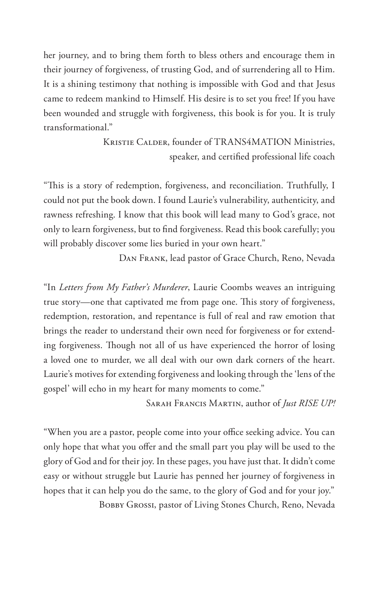her journey, and to bring them forth to bless others and encourage them in their journey of forgiveness, of trusting God, and of surrendering all to Him. It is a shining testimony that nothing is impossible with God and that Jesus came to redeem mankind to Himself. His desire is to set you free! If you have been wounded and struggle with forgiveness, this book is for you. It is truly transformational."

> Kristie Calder, founder of TRANS4MATION Ministries, speaker, and certified professional life coach

"This is a story of redemption, forgiveness, and reconciliation. Truthfully, I could not put the book down. I found Laurie's vulnerability, authenticity, and rawness refreshing. I know that this book will lead many to God's grace, not only to learn forgiveness, but to find forgiveness. Read this book carefully; you will probably discover some lies buried in your own heart."

Dan Frank, lead pastor of Grace Church, Reno, Nevada

"In *Letters from My Father's Murderer*, Laurie Coombs weaves an intriguing true story—one that captivated me from page one. This story of forgiveness, redemption, restoration, and repentance is full of real and raw emotion that brings the reader to understand their own need for forgiveness or for extending forgiveness. Though not all of us have experienced the horror of losing a loved one to murder, we all deal with our own dark corners of the heart. Laurie's motives for extending forgiveness and looking through the 'lens of the gospel' will echo in my heart for many moments to come."

Sarah Francis Martin, author of *Just RISE UP!*

"When you are a pastor, people come into your office seeking advice. You can only hope that what you offer and the small part you play will be used to the glory of God and for their joy. In these pages, you have just that. It didn't come easy or without struggle but Laurie has penned her journey of forgiveness in hopes that it can help you do the same, to the glory of God and for your joy."

BOBBY GROSSI, pastor of Living Stones Church, Reno, Nevada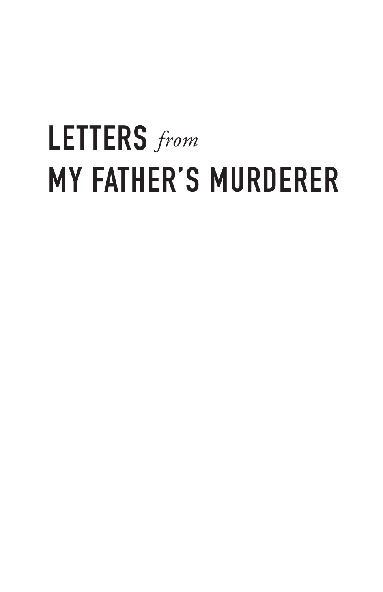# LETTERS *from*MY FATHER'S MURDERER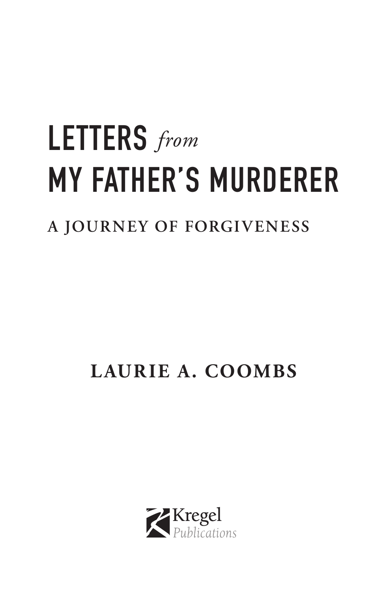# LETTERS *from*MY FATHER'S MURDERER

## **A JOURNEY OF FORGIVENESS**

## **LAURIE A. COOMBS**

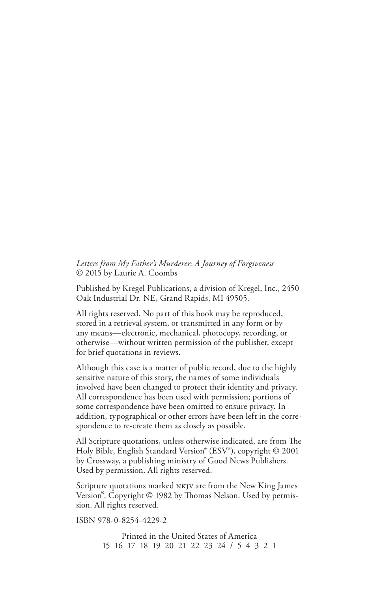#### *Letters from My Father's Murderer: A Journey of Forgiveness* © 2015 by Laurie A. Coombs

Published by Kregel Publications, a division of Kregel, Inc., 2450 Oak Industrial Dr. NE, Grand Rapids, MI 49505.

All rights reserved. No part of this book may be reproduced, stored in a retrieval system, or transmitted in any form or by any means—electronic, mechanical, photocopy, recording, or otherwise—without written permission of the publisher, except for brief quotations in reviews.

Although this case is a matter of public record, due to the highly sensitive nature of this story, the names of some individuals involved have been changed to protect their identity and privacy. All correspondence has been used with permission; portions of some correspondence have been omitted to ensure privacy. In addition, typographical or other errors have been left in the correspondence to re-create them as closely as possible.

All Scripture quotations, unless otherwise indicated, are from The Holy Bible, English Standard Version® (ESV®), copyright © 2001 by Crossway, a publishing ministry of Good News Publishers. Used by permission. All rights reserved.

Scripture quotations marked nkjv are from the New King James Version®. Copyright © 1982 by Thomas Nelson. Used by permission. All rights reserved.

ISBN 978-0-8254-4229-2

Printed in the United States of America 15 16 17 18 19 20 21 22 23 24 / 5 4 3 2 1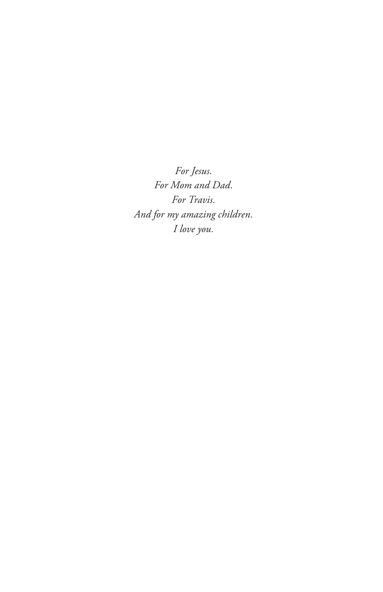*For Jesus. For Mom and Dad. For Travis. And for my amazing children. I love you.*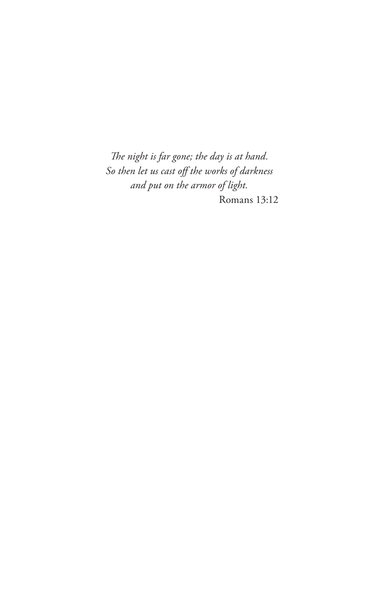*The night is far gone; the day is at hand. So then let us cast off the works of darkness and put on the armor of light.* Romans 13:12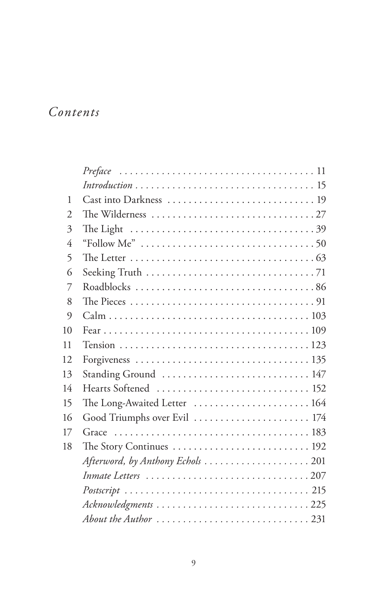## *Contents*

|                | $Introduction \dots \dots \dots \dots \dots \dots \dots \dots \dots \dots \dots \dots \ 15$ |
|----------------|---------------------------------------------------------------------------------------------|
| 1              |                                                                                             |
| $\mathfrak{D}$ |                                                                                             |
| 3              | The Light $\dots \dots \dots \dots \dots \dots \dots \dots \dots \dots \dots \dots 39$      |
| 4              | "Follow Me" $\dots\dots\dots\dots\dots\dots\dots\dots\dots\dots\dots\dots50$                |
| 5              | The Letter $\ldots \ldots \ldots \ldots \ldots \ldots \ldots \ldots \ldots \ldots \ldots$   |
| 6              |                                                                                             |
| 7              |                                                                                             |
| 8              |                                                                                             |
| 9              |                                                                                             |
| 10             |                                                                                             |
| 11             |                                                                                             |
| 12             |                                                                                             |
| 13             | Standing Ground  147                                                                        |
| 14             | Hearts Softened  152                                                                        |
| 15             | The Long-Awaited Letter  164                                                                |
| 16             | Good Triumphs over Evil  174                                                                |
| 17             |                                                                                             |
| 18             |                                                                                             |
|                |                                                                                             |
|                | Inmate Letters 207                                                                          |
|                |                                                                                             |
|                |                                                                                             |
|                | About the Author $\ldots \ldots \ldots \ldots \ldots \ldots \ldots \ldots \ldots 231$       |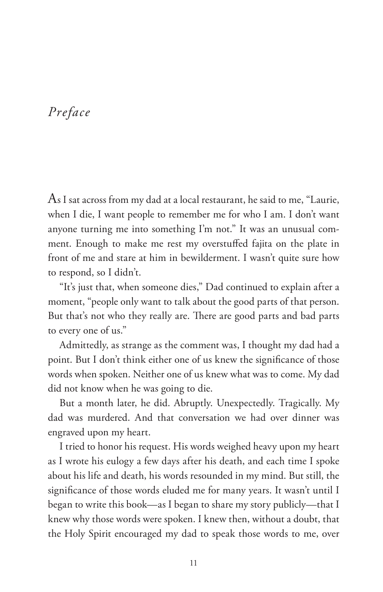### *Preface*

As I sat across from my dad at a local restaurant, he said to me, "Laurie, when I die, I want people to remember me for who I am. I don't want anyone turning me into something I'm not." It was an unusual comment. Enough to make me rest my overstuffed fajita on the plate in front of me and stare at him in bewilderment. I wasn't quite sure how to respond, so I didn't.

"It's just that, when someone dies," Dad continued to explain after a moment, "people only want to talk about the good parts of that person. But that's not who they really are. There are good parts and bad parts to every one of us."

Admittedly, as strange as the comment was, I thought my dad had a point. But I don't think either one of us knew the significance of those words when spoken. Neither one of us knew what was to come. My dad did not know when he was going to die.

But a month later, he did. Abruptly. Unexpectedly. Tragically. My dad was murdered. And that conversation we had over dinner was engraved upon my heart.

I tried to honor his request. His words weighed heavy upon my heart as I wrote his eulogy a few days after his death, and each time I spoke about his life and death, his words resounded in my mind. But still, the significance of those words eluded me for many years. It wasn't until I began to write this book—as I began to share my story publicly—that I knew why those words were spoken. I knew then, without a doubt, that the Holy Spirit encouraged my dad to speak those words to me, over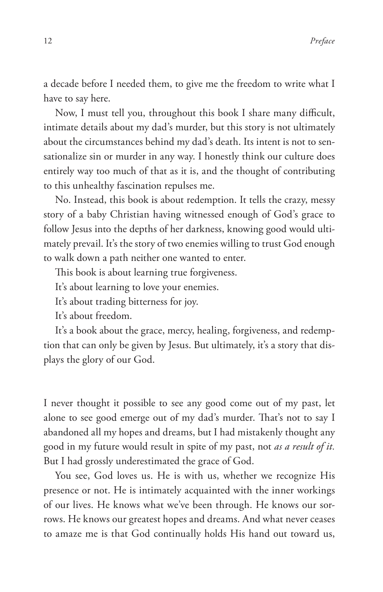a decade before I needed them, to give me the freedom to write what I have to say here.

Now, I must tell you, throughout this book I share many difficult, intimate details about my dad's murder, but this story is not ultimately about the circumstances behind my dad's death. Its intent is not to sensationalize sin or murder in any way. I honestly think our culture does entirely way too much of that as it is, and the thought of contributing to this unhealthy fascination repulses me.

No. Instead, this book is about redemption. It tells the crazy, messy story of a baby Christian having witnessed enough of God's grace to follow Jesus into the depths of her darkness, knowing good would ultimately prevail. It's the story of two enemies willing to trust God enough to walk down a path neither one wanted to enter.

This book is about learning true forgiveness.

It's about learning to love your enemies.

It's about trading bitterness for joy.

It's about freedom.

It's a book about the grace, mercy, healing, forgiveness, and redemption that can only be given by Jesus. But ultimately, it's a story that displays the glory of our God.

I never thought it possible to see any good come out of my past, let alone to see good emerge out of my dad's murder. That's not to say I abandoned all my hopes and dreams, but I had mistakenly thought any good in my future would result in spite of my past, not *as a result of it.* But I had grossly underestimated the grace of God.

You see, God loves us. He is with us, whether we recognize His presence or not. He is intimately acquainted with the inner workings of our lives. He knows what we've been through. He knows our sorrows. He knows our greatest hopes and dreams. And what never ceases to amaze me is that God continually holds His hand out toward us,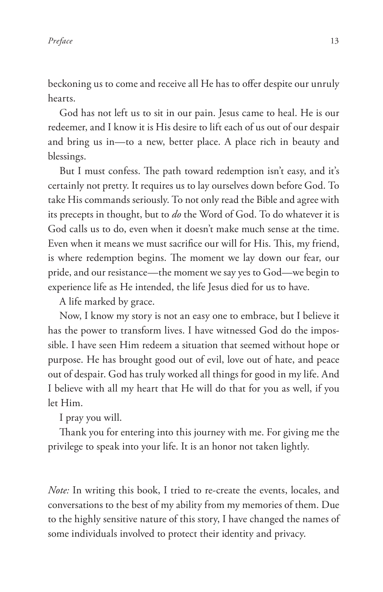beckoning us to come and receive all He has to offer despite our unruly hearts.

God has not left us to sit in our pain. Jesus came to heal. He is our redeemer, and I know it is His desire to lift each of us out of our despair and bring us in—to a new, better place. A place rich in beauty and blessings.

But I must confess. The path toward redemption isn't easy, and it's certainly not pretty. It requires us to lay ourselves down before God. To take His commands seriously. To not only read the Bible and agree with its precepts in thought, but to *do* the Word of God. To do whatever it is God calls us to do, even when it doesn't make much sense at the time. Even when it means we must sacrifice our will for His. This, my friend, is where redemption begins. The moment we lay down our fear, our pride, and our resistance—the moment we say yes to God—we begin to experience life as He intended, the life Jesus died for us to have.

A life marked by grace.

Now, I know my story is not an easy one to embrace, but I believe it has the power to transform lives. I have witnessed God do the impossible. I have seen Him redeem a situation that seemed without hope or purpose. He has brought good out of evil, love out of hate, and peace out of despair. God has truly worked all things for good in my life. And I believe with all my heart that He will do that for you as well, if you let Him.

I pray you will.

Thank you for entering into this journey with me. For giving me the privilege to speak into your life. It is an honor not taken lightly.

*Note:* In writing this book, I tried to re-create the events, locales, and conversations to the best of my ability from my memories of them. Due to the highly sensitive nature of this story, I have changed the names of some individuals involved to protect their identity and privacy.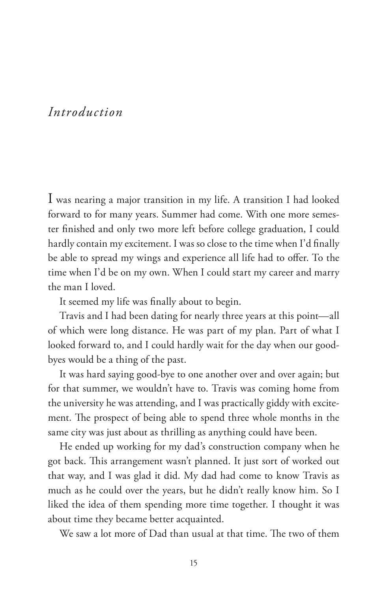### *Introduction*

I was nearing a major transition in my life. A transition I had looked forward to for many years. Summer had come. With one more semester finished and only two more left before college graduation, I could hardly contain my excitement. I was so close to the time when I'd finally be able to spread my wings and experience all life had to offer. To the time when I'd be on my own. When I could start my career and marry the man I loved.

It seemed my life was finally about to begin.

Travis and I had been dating for nearly three years at this point—all of which were long distance. He was part of my plan. Part of what I looked forward to, and I could hardly wait for the day when our goodbyes would be a thing of the past.

It was hard saying good-bye to one another over and over again; but for that summer, we wouldn't have to. Travis was coming home from the university he was attending, and I was practically giddy with excitement. The prospect of being able to spend three whole months in the same city was just about as thrilling as anything could have been.

He ended up working for my dad's construction company when he got back. This arrangement wasn't planned. It just sort of worked out that way, and I was glad it did. My dad had come to know Travis as much as he could over the years, but he didn't really know him. So I liked the idea of them spending more time together. I thought it was about time they became better acquainted.

We saw a lot more of Dad than usual at that time. The two of them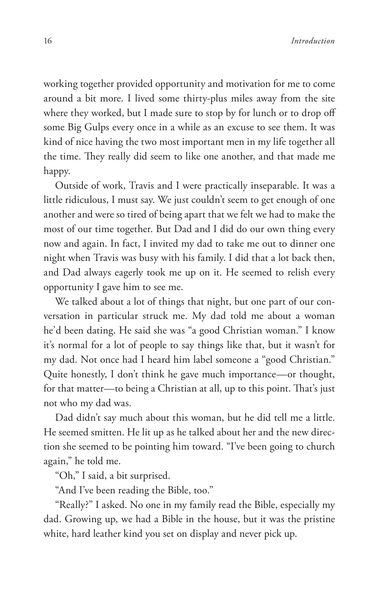working together provided opportunity and motivation for me to come around a bit more. I lived some thirty-plus miles away from the site where they worked, but I made sure to stop by for lunch or to drop off some Big Gulps every once in a while as an excuse to see them. It was kind of nice having the two most important men in my life together all the time. They really did seem to like one another, and that made me happy.

Outside of work, Travis and I were practically inseparable. It was a little ridiculous, I must say. We just couldn't seem to get enough of one another and were so tired of being apart that we felt we had to make the most of our time together. But Dad and I did do our own thing every now and again. In fact, I invited my dad to take me out to dinner one night when Travis was busy with his family. I did that a lot back then, and Dad always eagerly took me up on it. He seemed to relish every opportunity I gave him to see me.

We talked about a lot of things that night, but one part of our conversation in particular struck me. My dad told me about a woman he'd been dating. He said she was "a good Christian woman." I know it's normal for a lot of people to say things like that, but it wasn't for my dad. Not once had I heard him label someone a "good Christian." Quite honestly, I don't think he gave much importance—or thought, for that matter—to being a Christian at all, up to this point. That's just not who my dad was.

Dad didn't say much about this woman, but he did tell me a little. He seemed smitten. He lit up as he talked about her and the new direction she seemed to be pointing him toward. "I've been going to church again," he told me.

"Oh," I said, a bit surprised.

"And I've been reading the Bible, too."

"Really?" I asked. No one in my family read the Bible, especially my dad. Growing up, we had a Bible in the house, but it was the pristine white, hard leather kind you set on display and never pick up.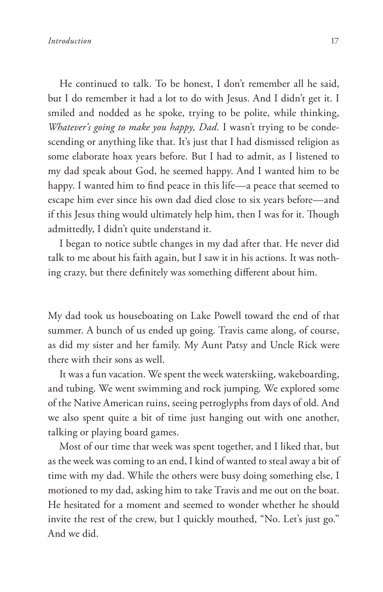He continued to talk. To be honest, I don't remember all he said, but I do remember it had a lot to do with Jesus. And I didn't get it. I smiled and nodded as he spoke, trying to be polite, while thinking, *Whatever's going to make you happy, Dad.* I wasn't trying to be condescending or anything like that. It's just that I had dismissed religion as some elaborate hoax years before. But I had to admit, as I listened to my dad speak about God, he seemed happy. And I wanted him to be happy. I wanted him to find peace in this life—a peace that seemed to escape him ever since his own dad died close to six years before—and if this Jesus thing would ultimately help him, then I was for it. Though admittedly, I didn't quite understand it.

I began to notice subtle changes in my dad after that. He never did talk to me about his faith again, but I saw it in his actions. It was nothing crazy, but there definitely was something different about him.

My dad took us houseboating on Lake Powell toward the end of that summer. A bunch of us ended up going. Travis came along, of course, as did my sister and her family. My Aunt Patsy and Uncle Rick were there with their sons as well.

It was a fun vacation. We spent the week waterskiing, wakeboarding, and tubing. We went swimming and rock jumping. We explored some of the Native American ruins, seeing petroglyphs from days of old. And we also spent quite a bit of time just hanging out with one another, talking or playing board games.

Most of our time that week was spent together, and I liked that, but as the week was coming to an end, I kind of wanted to steal away a bit of time with my dad. While the others were busy doing something else, I motioned to my dad, asking him to take Travis and me out on the boat. He hesitated for a moment and seemed to wonder whether he should invite the rest of the crew, but I quickly mouthed, "No. Let's just go." And we did.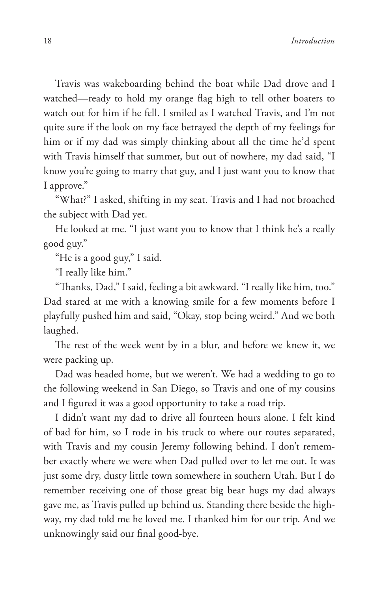Travis was wakeboarding behind the boat while Dad drove and I watched—ready to hold my orange flag high to tell other boaters to watch out for him if he fell. I smiled as I watched Travis, and I'm not quite sure if the look on my face betrayed the depth of my feelings for him or if my dad was simply thinking about all the time he'd spent with Travis himself that summer, but out of nowhere, my dad said, "I know you're going to marry that guy, and I just want you to know that I approve."

"What?" I asked, shifting in my seat. Travis and I had not broached the subject with Dad yet.

He looked at me. "I just want you to know that I think he's a really good guy."

"He is a good guy," I said.

"I really like him."

"Thanks, Dad," I said, feeling a bit awkward. "I really like him, too." Dad stared at me with a knowing smile for a few moments before I playfully pushed him and said, "Okay, stop being weird." And we both laughed.

The rest of the week went by in a blur, and before we knew it, we were packing up.

Dad was headed home, but we weren't. We had a wedding to go to the following weekend in San Diego, so Travis and one of my cousins and I figured it was a good opportunity to take a road trip.

I didn't want my dad to drive all fourteen hours alone. I felt kind of bad for him, so I rode in his truck to where our routes separated, with Travis and my cousin Jeremy following behind. I don't remember exactly where we were when Dad pulled over to let me out. It was just some dry, dusty little town somewhere in southern Utah. But I do remember receiving one of those great big bear hugs my dad always gave me, as Travis pulled up behind us. Standing there beside the highway, my dad told me he loved me. I thanked him for our trip. And we unknowingly said our final good-bye.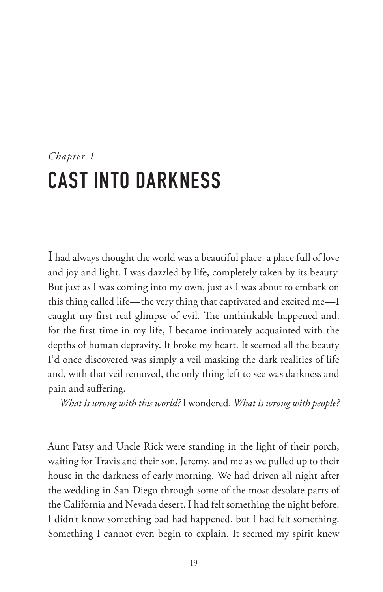# *Chapter 1* CAST INTO DARKNESS

I had always thought the world was a beautiful place, a place full of love and joy and light. I was dazzled by life, completely taken by its beauty. But just as I was coming into my own, just as I was about to embark on this thing called life—the very thing that captivated and excited me—I caught my first real glimpse of evil. The unthinkable happened and, for the first time in my life, I became intimately acquainted with the depths of human depravity. It broke my heart. It seemed all the beauty I'd once discovered was simply a veil masking the dark realities of life and, with that veil removed, the only thing left to see was darkness and pain and suffering.

*What is wrong with this world?* I wondered. *What is wrong with people?*

Aunt Patsy and Uncle Rick were standing in the light of their porch, waiting for Travis and their son, Jeremy, and me as we pulled up to their house in the darkness of early morning. We had driven all night after the wedding in San Diego through some of the most desolate parts of the California and Nevada desert. I had felt something the night before. I didn't know something bad had happened, but I had felt something. Something I cannot even begin to explain. It seemed my spirit knew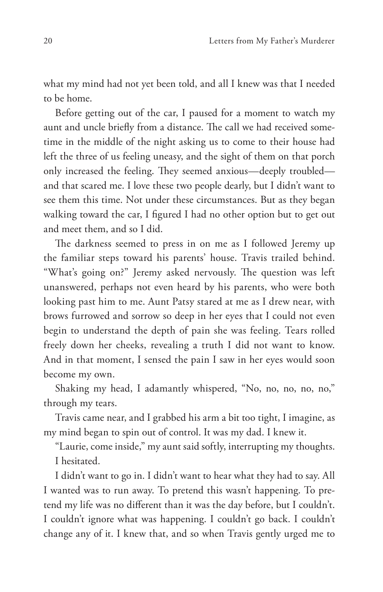what my mind had not yet been told, and all I knew was that I needed to be home.

Before getting out of the car, I paused for a moment to watch my aunt and uncle briefly from a distance. The call we had received sometime in the middle of the night asking us to come to their house had left the three of us feeling uneasy, and the sight of them on that porch only increased the feeling. They seemed anxious—deeply troubled and that scared me. I love these two people dearly, but I didn't want to see them this time. Not under these circumstances. But as they began walking toward the car, I figured I had no other option but to get out and meet them, and so I did.

The darkness seemed to press in on me as I followed Jeremy up the familiar steps toward his parents' house. Travis trailed behind. "What's going on?" Jeremy asked nervously. The question was left unanswered, perhaps not even heard by his parents, who were both looking past him to me. Aunt Patsy stared at me as I drew near, with brows furrowed and sorrow so deep in her eyes that I could not even begin to understand the depth of pain she was feeling. Tears rolled freely down her cheeks, revealing a truth I did not want to know. And in that moment, I sensed the pain I saw in her eyes would soon become my own.

Shaking my head, I adamantly whispered, "No, no, no, no, no," through my tears.

Travis came near, and I grabbed his arm a bit too tight, I imagine, as my mind began to spin out of control. It was my dad. I knew it.

"Laurie, come inside," my aunt said softly, interrupting my thoughts.

I hesitated.

I didn't want to go in. I didn't want to hear what they had to say. All I wanted was to run away. To pretend this wasn't happening. To pretend my life was no different than it was the day before, but I couldn't. I couldn't ignore what was happening. I couldn't go back. I couldn't change any of it. I knew that, and so when Travis gently urged me to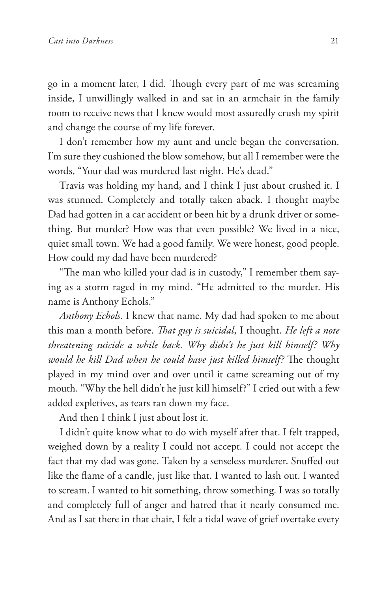go in a moment later, I did. Though every part of me was screaming inside, I unwillingly walked in and sat in an armchair in the family room to receive news that I knew would most assuredly crush my spirit and change the course of my life forever.

I don't remember how my aunt and uncle began the conversation. I'm sure they cushioned the blow somehow, but all I remember were the words, "Your dad was murdered last night. He's dead."

Travis was holding my hand, and I think I just about crushed it. I was stunned. Completely and totally taken aback. I thought maybe Dad had gotten in a car accident or been hit by a drunk driver or something. But murder? How was that even possible? We lived in a nice, quiet small town. We had a good family. We were honest, good people. How could my dad have been murdered?

"The man who killed your dad is in custody," I remember them saying as a storm raged in my mind. "He admitted to the murder. His name is Anthony Echols."

*Anthony Echols.* I knew that name. My dad had spoken to me about this man a month before. *That guy is suicidal*, I thought. *He left a note threatening suicide a while back. Why didn't he just kill himself? Why would he kill Dad when he could have just killed himself?* The thought played in my mind over and over until it came screaming out of my mouth. "Why the hell didn't he just kill himself?" I cried out with a few added expletives, as tears ran down my face.

And then I think I just about lost it.

I didn't quite know what to do with myself after that. I felt trapped, weighed down by a reality I could not accept. I could not accept the fact that my dad was gone. Taken by a senseless murderer. Snuffed out like the flame of a candle, just like that. I wanted to lash out. I wanted to scream. I wanted to hit something, throw something. I was so totally and completely full of anger and hatred that it nearly consumed me. And as I sat there in that chair, I felt a tidal wave of grief overtake every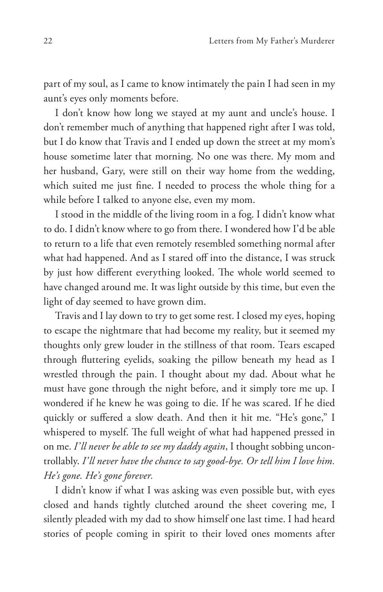part of my soul, as I came to know intimately the pain I had seen in my aunt's eyes only moments before.

I don't know how long we stayed at my aunt and uncle's house. I don't remember much of anything that happened right after I was told, but I do know that Travis and I ended up down the street at my mom's house sometime later that morning. No one was there. My mom and her husband, Gary, were still on their way home from the wedding, which suited me just fine. I needed to process the whole thing for a while before I talked to anyone else, even my mom.

I stood in the middle of the living room in a fog. I didn't know what to do. I didn't know where to go from there. I wondered how I'd be able to return to a life that even remotely resembled something normal after what had happened. And as I stared off into the distance, I was struck by just how different everything looked. The whole world seemed to have changed around me. It was light outside by this time, but even the light of day seemed to have grown dim.

Travis and I lay down to try to get some rest. I closed my eyes, hoping to escape the nightmare that had become my reality, but it seemed my thoughts only grew louder in the stillness of that room. Tears escaped through fluttering eyelids, soaking the pillow beneath my head as I wrestled through the pain. I thought about my dad. About what he must have gone through the night before, and it simply tore me up. I wondered if he knew he was going to die. If he was scared. If he died quickly or suffered a slow death. And then it hit me. "He's gone," I whispered to myself. The full weight of what had happened pressed in on me. *I'll never be able to see my daddy again*, I thought sobbing uncontrollably. *I'll never have the chance to say good-bye. Or tell him I love him. He's gone. He's gone forever.*

I didn't know if what I was asking was even possible but, with eyes closed and hands tightly clutched around the sheet covering me, I silently pleaded with my dad to show himself one last time. I had heard stories of people coming in spirit to their loved ones moments after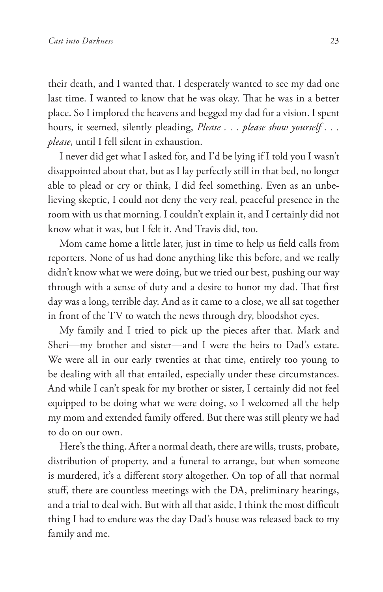their death, and I wanted that. I desperately wanted to see my dad one last time. I wanted to know that he was okay. That he was in a better place. So I implored the heavens and begged my dad for a vision. I spent hours, it seemed, silently pleading, *Please . . . please show yourself . . . please*, until I fell silent in exhaustion.

I never did get what I asked for, and I'd be lying if I told you I wasn't disappointed about that, but as I lay perfectly still in that bed, no longer able to plead or cry or think, I did feel something. Even as an unbelieving skeptic, I could not deny the very real, peaceful presence in the room with us that morning. I couldn't explain it, and I certainly did not know what it was, but I felt it. And Travis did, too.

Mom came home a little later, just in time to help us field calls from reporters. None of us had done anything like this before, and we really didn't know what we were doing, but we tried our best, pushing our way through with a sense of duty and a desire to honor my dad. That first day was a long, terrible day. And as it came to a close, we all sat together in front of the TV to watch the news through dry, bloodshot eyes.

My family and I tried to pick up the pieces after that. Mark and Sheri—my brother and sister—and I were the heirs to Dad's estate. We were all in our early twenties at that time, entirely too young to be dealing with all that entailed, especially under these circumstances. And while I can't speak for my brother or sister, I certainly did not feel equipped to be doing what we were doing, so I welcomed all the help my mom and extended family offered. But there was still plenty we had to do on our own.

Here's the thing. After a normal death, there are wills, trusts, probate, distribution of property, and a funeral to arrange, but when someone is murdered, it's a different story altogether. On top of all that normal stuff, there are countless meetings with the DA, preliminary hearings, and a trial to deal with. But with all that aside, I think the most difficult thing I had to endure was the day Dad's house was released back to my family and me.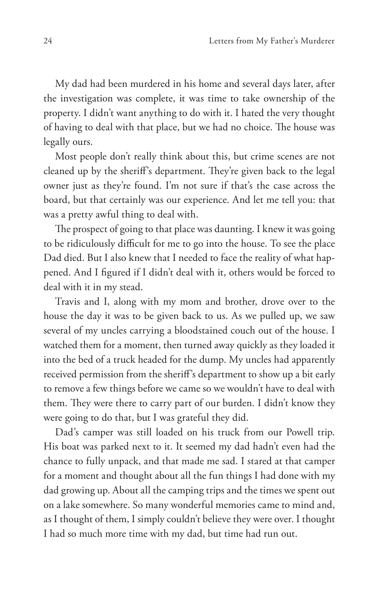My dad had been murdered in his home and several days later, after the investigation was complete, it was time to take ownership of the property. I didn't want anything to do with it. I hated the very thought of having to deal with that place, but we had no choice. The house was legally ours.

Most people don't really think about this, but crime scenes are not cleaned up by the sheriff's department. They're given back to the legal owner just as they're found. I'm not sure if that's the case across the board, but that certainly was our experience. And let me tell you: that was a pretty awful thing to deal with.

The prospect of going to that place was daunting. I knew it was going to be ridiculously difficult for me to go into the house. To see the place Dad died. But I also knew that I needed to face the reality of what happened. And I figured if I didn't deal with it, others would be forced to deal with it in my stead.

Travis and I, along with my mom and brother, drove over to the house the day it was to be given back to us. As we pulled up, we saw several of my uncles carrying a bloodstained couch out of the house. I watched them for a moment, then turned away quickly as they loaded it into the bed of a truck headed for the dump. My uncles had apparently received permission from the sheriff's department to show up a bit early to remove a few things before we came so we wouldn't have to deal with them. They were there to carry part of our burden. I didn't know they were going to do that, but I was grateful they did.

Dad's camper was still loaded on his truck from our Powell trip. His boat was parked next to it. It seemed my dad hadn't even had the chance to fully unpack, and that made me sad. I stared at that camper for a moment and thought about all the fun things I had done with my dad growing up. About all the camping trips and the times we spent out on a lake somewhere. So many wonderful memories came to mind and, as I thought of them, I simply couldn't believe they were over. I thought I had so much more time with my dad, but time had run out.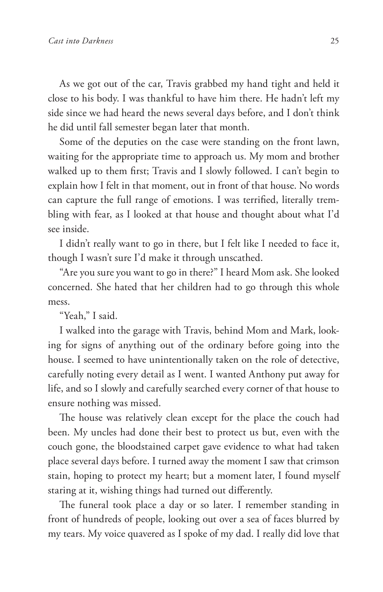As we got out of the car, Travis grabbed my hand tight and held it close to his body. I was thankful to have him there. He hadn't left my side since we had heard the news several days before, and I don't think he did until fall semester began later that month.

Some of the deputies on the case were standing on the front lawn, waiting for the appropriate time to approach us. My mom and brother walked up to them first; Travis and I slowly followed. I can't begin to explain how I felt in that moment, out in front of that house. No words can capture the full range of emotions. I was terrified, literally trembling with fear, as I looked at that house and thought about what I'd see inside.

I didn't really want to go in there, but I felt like I needed to face it, though I wasn't sure I'd make it through unscathed.

"Are you sure you want to go in there?" I heard Mom ask. She looked concerned. She hated that her children had to go through this whole mess.

"Yeah," I said.

I walked into the garage with Travis, behind Mom and Mark, looking for signs of anything out of the ordinary before going into the house. I seemed to have unintentionally taken on the role of detective, carefully noting every detail as I went. I wanted Anthony put away for life, and so I slowly and carefully searched every corner of that house to ensure nothing was missed.

The house was relatively clean except for the place the couch had been. My uncles had done their best to protect us but, even with the couch gone, the bloodstained carpet gave evidence to what had taken place several days before. I turned away the moment I saw that crimson stain, hoping to protect my heart; but a moment later, I found myself staring at it, wishing things had turned out differently.

The funeral took place a day or so later. I remember standing in front of hundreds of people, looking out over a sea of faces blurred by my tears. My voice quavered as I spoke of my dad. I really did love that